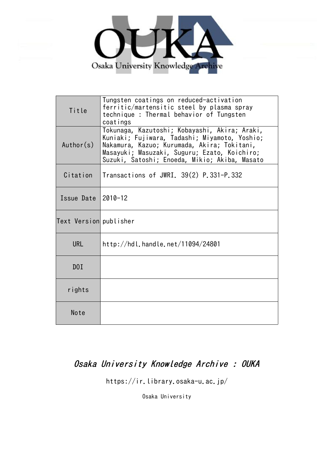

| Title                  | Tungsten coatings on reduced-activation<br>ferritic/martensitic steel by plasma spray<br>technique: Thermal behavior of Tungsten<br>coatings                                                                                                   |
|------------------------|------------------------------------------------------------------------------------------------------------------------------------------------------------------------------------------------------------------------------------------------|
| Author(s)              | Tokunaga, Kazutoshi; Kobayashi, Akira; Araki,<br>Kuniaki; Fujiwara, Tadashi; Miyamoto, Yoshio;<br>Nakamura, Kazuo; Kurumada, Akira; Tokitani,<br>Masayuki; Masuzaki, Suguru; Ezato, Koichiro;<br>Suzuki, Satoshi; Enoeda, Mikio; Akiba, Masato |
| Citation               | Transactions of JWRI. 39(2) P.331-P.332                                                                                                                                                                                                        |
| Issue Date             | $2010 - 12$                                                                                                                                                                                                                                    |
| Text Version publisher |                                                                                                                                                                                                                                                |
| <b>URL</b>             | http://hdl.handle.net/11094/24801                                                                                                                                                                                                              |
| D0I                    |                                                                                                                                                                                                                                                |
| rights                 |                                                                                                                                                                                                                                                |
| Note                   |                                                                                                                                                                                                                                                |

# Osaka University Knowledge Archive : OUKA

https://ir.library.osaka-u.ac.jp/

Osaka University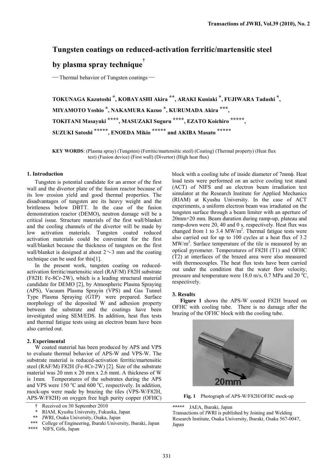### **Tungsten coatings on reduced-activation ferritic/martensitic steel**

## **by plasma spray technique†**

— Thermal behavior of Tungsten coatings —

**TOKUNAGA Kazutoshi \*, KOBAYASHI Akira \*\*, ARAKI Kuniaki \*, FUJIWARA Tadashi \*, MIYAMOTO Yoshio \*, NAKAMURA Kazuo \*, KURUMADA Akira \*\*\*, TOKITANI Masayuki \*\*\*\*, MASUZAKI Suguru \*\*\*\*, EZATO Koichiro \*\*\*\*\*, SUZUKI Satoshi \*\*\*\*\*, ENOEDA Mikio \*\*\*\*\* and AKIBA Masato \*\*\*\*\***

**KEY WORDS**: (Plasma spray) (Tungsten) (Ferritic/martensitic steel) (Coating) (Thermal property) (Heat flux test) (Fusion device) (First wall) (Divertor) (High heat flux)

#### **1. Introduction**

Tungsten is potential candidate for an armor of the first wall and the divertor plate of the fusion reactor because of its low erosion yield and good thermal properties. The disadvantages of tungsten are its heavy weight and the brittleness below DBTT. In the case of the fusion demonstration reactor (DEMO), neutron damage will be a critical issue. Structure materials of the first wall/blanket and the cooling channels of the divertor will be made by low activation materials. Tungsten coated reduced activation materials could be convenient for the first wall/blanket because the thickness of tungsten on the first wall/blanket is designed at about  $2\sim$ 3 mm and the coating technique can be used for this[1].

In the present work, tungsten coating on reducedactivation ferritic/martensitic steel (RAF/M) F82H substrate (F82H: Fe-8Cr-2W), which is a leading structural material candidate for DEMO [2], by Atmospheric Plasma Spraying (APS), Vacuum Plasma Sprayin (VPS) and Gas Tunnel Type Plasma Spraying (GTP) were prepared. Surface morphology of the deposited W and adhesion property between the substrate and the coatings have been investigated using SEM/EDS. In addition, heat flux tests and thermal fatigue tests using an electron beam have been also carried out.

#### **2. Experimental**

W coated material has been produced by APS and VPS to evaluate thermal behavior of APS-W and VPS-W. The substrate material is reduced-activation ferritic/martensitic steel (RAF/M) F82H (Fe-8Cr-2W) [2]. Size of the substrate material was 20 mm x 20 mm x 2.6 mmt. A thickness of W is 1mm. Temperatures of the substrates during the APS and VPS were  $150^{\circ}$ C and  $600^{\circ}$ C, respectively. In addition, mock-ups were made by brazing the tiles (VPS-W/F82H, APS-W/F82H) on oxygen free high purity copper (OFHC)

\*\* JWRI, Osaka University, Osaka, Japan

block with a cooling tube of inside diameter of 7mm $\phi$ . Heat load tests were performed on an active cooling test stand (ACT) of NIFS and an electron beam irradiation test simulator at the Research Institute for Applied Mechanics (RIAM) at Kyushu University. In the case of ACT experiments, a uniform electron beam was irradiated on the tungsten surface through a beam limiter with an aperture of 20mm×20 mm. Beam duration during ramp-up, plateau and ramp-down were 20, 40 and 0 s, respectively. Heat flux was changed from 1 to 3.4  $MW/m<sup>2</sup>$ . Thermal fatigue tests were also carried out for up to 100 cycles at a heat flux of 3.2  $MW/m<sup>2</sup>$ . Surface temperature of the tile is measured by an optical pyrometer. Temperatures of F82H (T1) and OFHC (T2) at interfaces of the brazed area were also measured with thermocouples. The heat flux tests have been carried out under the condition that the water flow velocity, pressure and temperature were 18.0 m/s, 0.7 MPa and 20  $\rm ^{o}C$ , respectively.

#### **3. Results**

**Figure 1** shows the APS-W coated F82H brazed on OFHC with cooling tube. There is no damage after the brazing of the OFHC block with the cooling tube.



**Fig. 1** Photograph of APS-W/F82H/OFHC mock-up

\*\*\*\*\* JAEA, Ibaraki, Japan

Transactions of JWRI is published by Joining and Welding Research Institute, Osaka University, Ibaraki, Osaka 567-0047, Japan

<sup>†</sup> Received on 30 September 2010

<sup>\*</sup> RIAM, Kyushu University, Fukuoka, Japan

<sup>\*\*\*</sup> College of Engineering, Ibaraki University, Ibaraki, Japan \*\*\*\* NIFS, Gifu, Japan